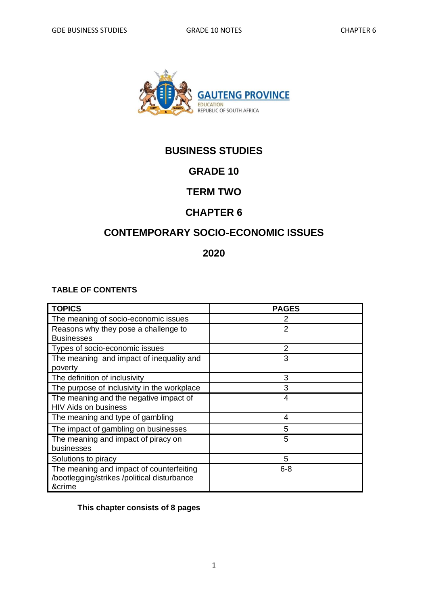

# **BUSINESS STUDIES**

# **GRADE 10**

## **TERM TWO**

## **CHAPTER 6**

# **CONTEMPORARY SOCIO-ECONOMIC ISSUES**

### **2020**

#### **TABLE OF CONTENTS**

| <b>TOPICS</b>                               | <b>PAGES</b>   |
|---------------------------------------------|----------------|
| The meaning of socio-economic issues        | 2              |
| Reasons why they pose a challenge to        | 2              |
| <b>Businesses</b>                           |                |
| Types of socio-economic issues              | $\overline{2}$ |
| The meaning and impact of inequality and    | 3              |
| poverty                                     |                |
| The definition of inclusivity               | 3              |
| The purpose of inclusivity in the workplace | 3              |
| The meaning and the negative impact of      | 4              |
| <b>HIV Aids on business</b>                 |                |
| The meaning and type of gambling            | 4              |
| The impact of gambling on businesses        | 5              |
| The meaning and impact of piracy on         | 5              |
| businesses                                  |                |
| Solutions to piracy                         | 5              |
| The meaning and impact of counterfeiting    | $6 - 8$        |
| /bootlegging/strikes /political disturbance |                |
| &crime                                      |                |

#### **This chapter consists of 8 pages**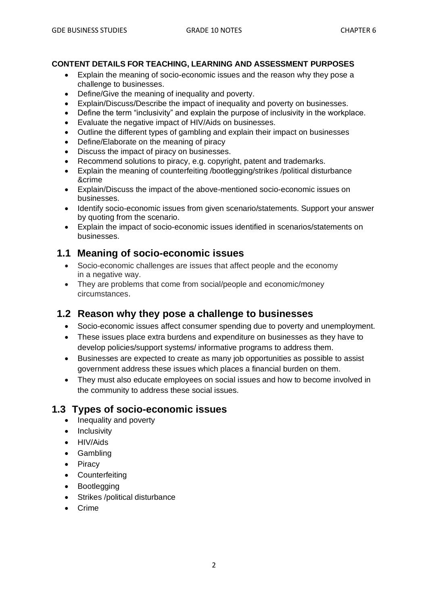#### **CONTENT DETAILS FOR TEACHING, LEARNING AND ASSESSMENT PURPOSES**

- Explain the meaning of socio-economic issues and the reason why they pose a challenge to businesses.
- Define/Give the meaning of inequality and poverty.
- Explain/Discuss/Describe the impact of inequality and poverty on businesses.
- Define the term "inclusivity" and explain the purpose of inclusivity in the workplace.
- Evaluate the negative impact of HIV/Aids on businesses.
- Outline the different types of gambling and explain their impact on businesses
- Define/Elaborate on the meaning of piracy
- Discuss the impact of piracy on businesses.
- Recommend solutions to piracy, e.g. copyright, patent and trademarks.
- Explain the meaning of counterfeiting /bootlegging/strikes /political disturbance &crime
- Explain/Discuss the impact of the above-mentioned socio-economic issues on businesses.
- Identify socio-economic issues from given scenario/statements. Support your answer by quoting from the scenario.
- Explain the impact of socio-economic issues identified in scenarios/statements on businesses.

#### **1.1 Meaning of socio-economic issues**

- Socio-economic challenges are issues that affect people and the economy in a negative way.
- They are problems that come from social/people and economic/money circumstances.

#### **1.2 Reason why they pose a challenge to businesses**

- Socio-economic issues affect consumer spending due to poverty and unemployment.
- These issues place extra burdens and expenditure on businesses as they have to develop policies/support systems/ informative programs to address them.
- Businesses are expected to create as many job opportunities as possible to assist government address these issues which places a financial burden on them.
- They must also educate employees on social issues and how to become involved in the community to address these social issues.

#### **1.3 Types of socio-economic issues**

- Inequality and poverty
- Inclusivity
- HIV/Aids
- Gambling
- Piracy
- Counterfeiting
- Bootlegging
- Strikes /political disturbance
- Crime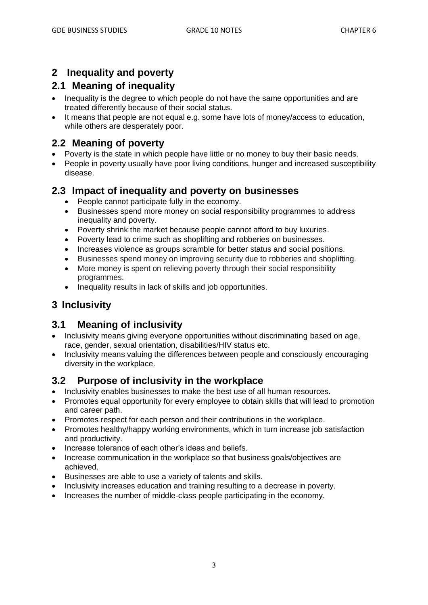## **2 Inequality and poverty**

## **2.1 Meaning of inequality**

- Inequality is the degree to which people do not have the same opportunities and are treated differently because of their social status.
- It means that people are not equal e.g. some have lots of money/access to education, while others are desperately poor.

# **2.2 Meaning of poverty**

- Poverty is the state in which people have little or no money to buy their basic needs.
- People in poverty usually have poor living conditions, hunger and increased susceptibility disease.

### **2.3 Impact of inequality and poverty on businesses**

- People cannot participate fully in the economy.
- Businesses spend more money on social responsibility programmes to address inequality and poverty.
- Poverty shrink the market because people cannot afford to buy luxuries.
- Poverty lead to crime such as shoplifting and robberies on businesses.
- Increases violence as groups scramble for better status and social positions.
- Businesses spend money on improving security due to robberies and shoplifting.
- More money is spent on relieving poverty through their social responsibility programmes.
- Inequality results in lack of skills and job opportunities.

# **3 Inclusivity**

## **3.1 Meaning of inclusivity**

- Inclusivity means giving everyone opportunities without discriminating based on age, race, gender, sexual orientation, disabilities/HIV status etc.
- Inclusivity means valuing the differences between people and consciously encouraging diversity in the workplace.

## **3.2 Purpose of inclusivity in the workplace**

- Inclusivity enables businesses to make the best use of all human resources.
- Promotes equal opportunity for every employee to obtain skills that will lead to promotion and career path.
- Promotes respect for each person and their contributions in the workplace.
- Promotes healthy/happy working environments, which in turn increase job satisfaction and productivity.
- Increase tolerance of each other's ideas and beliefs.
- Increase communication in the workplace so that business goals/objectives are achieved.
- Businesses are able to use a variety of talents and skills.
- Inclusivity increases education and training resulting to a decrease in poverty.
- Increases the number of middle-class people participating in the economy.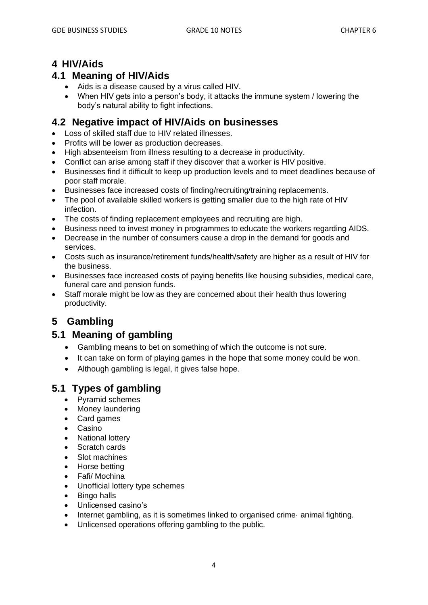### **4 HIV/Aids**

#### **4.1 Meaning of HIV/Aids**

- Aids is a disease caused by a virus called HIV.
- When HIV gets into a person's body, it attacks the immune system / lowering the body's natural ability to fight infections.

#### **4.2 Negative impact of HIV/Aids on businesses**

- Loss of skilled staff due to HIV related illnesses.
- Profits will be lower as production decreases.
- High absenteeism from illness resulting to a decrease in productivity.
- Conflict can arise among staff if they discover that a worker is HIV positive.
- Businesses find it difficult to keep up production levels and to meet deadlines because of poor staff morale.
- Businesses face increased costs of finding/recruiting/training replacements.
- The pool of available skilled workers is getting smaller due to the high rate of HIV infection.
- The costs of finding replacement employees and recruiting are high.
- Business need to invest money in programmes to educate the workers regarding AIDS.
- Decrease in the number of consumers cause a drop in the demand for goods and services.
- Costs such as insurance/retirement funds/health/safety are higher as a result of HIV for the business.
- Businesses face increased costs of paying benefits like housing subsidies, medical care, funeral care and pension funds.
- Staff morale might be low as they are concerned about their health thus lowering productivity.

# **5 Gambling**

#### **5.1 Meaning of gambling**

- Gambling means to bet on something of which the outcome is not sure.
- It can take on form of playing games in the hope that some money could be won.
- Although gambling is legal, it gives false hope.

## **5.1 Types of gambling**

- Pyramid schemes
- Money laundering
- Card games
- Casino
- **National lottery**
- Scratch cards
- Slot machines
- Horse betting
- Fafi/ Mochina
- Unofficial lottery type schemes
- Bingo halls
- Unlicensed casino's
- Internet gambling, as it is sometimes linked to organised crime animal fighting.
- Unlicensed operations offering gambling to the public.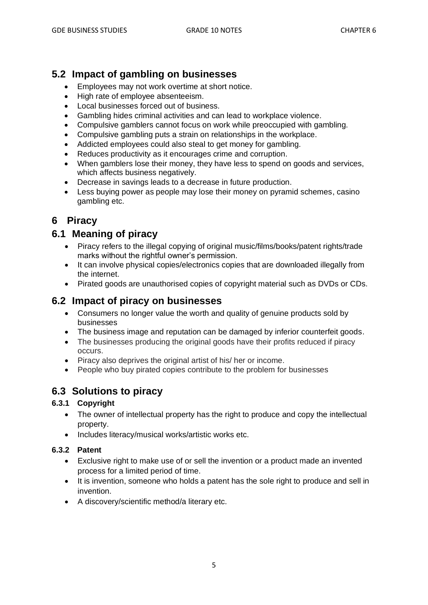## **5.2 Impact of gambling on businesses**

- Employees may not work overtime at short notice.
- High rate of employee absenteeism.
- Local businesses forced out of business.
- Gambling hides criminal activities and can lead to workplace violence.
- Compulsive gamblers cannot focus on work while preoccupied with gambling.
- Compulsive gambling puts a strain on relationships in the workplace.
- Addicted employees could also steal to get money for gambling.
- Reduces productivity as it encourages crime and corruption.
- When gamblers lose their money, they have less to spend on goods and services, which affects business negatively.
- Decrease in savings leads to a decrease in future production.
- Less buying power as people may lose their money on pyramid schemes, casino gambling etc.

## **6 Piracy**

## **6.1 Meaning of piracy**

- Piracy refers to the illegal copying of original music/films/books/patent rights/trade marks without the rightful owner's permission.
- It can involve physical copies/electronics copies that are downloaded illegally from the internet.
- Pirated goods are unauthorised copies of copyright material such as DVDs or CDs.

### **6.2 Impact of piracy on businesses**

- Consumers no longer value the worth and quality of genuine products sold by businesses
- The business image and reputation can be damaged by inferior counterfeit goods.
- The businesses producing the original goods have their profits reduced if piracy occurs.
- Piracy also deprives the original artist of his/ her or income.
- People who buy pirated copies contribute to the problem for businesses

## **6.3 Solutions to piracy**

#### **6.3.1 Copyright**

- The owner of intellectual property has the right to produce and copy the intellectual property.
- Includes literacy/musical works/artistic works etc.

#### **6.3.2 Patent**

- Exclusive right to make use of or sell the invention or a product made an invented process for a limited period of time.
- It is invention, someone who holds a patent has the sole right to produce and sell in invention.
- A discovery/scientific method/a literary etc.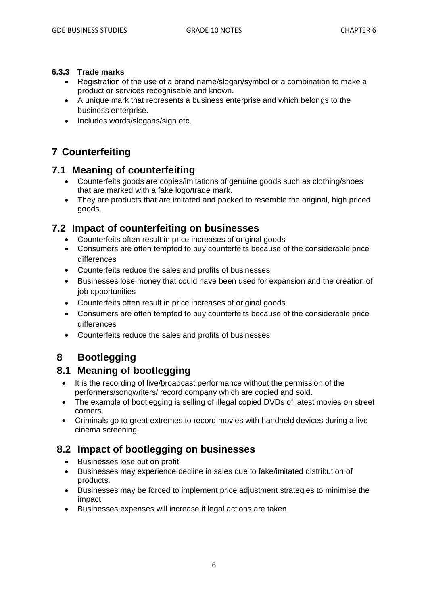#### **6.3.3 Trade marks**

- Registration of the use of a brand name/slogan/symbol or a combination to make a product or services recognisable and known.
- A unique mark that represents a business enterprise and which belongs to the business enterprise.
- Includes words/slogans/sign etc.

# **7 Counterfeiting**

#### **7.1 Meaning of counterfeiting**

- Counterfeits goods are copies/imitations of genuine goods such as clothing/shoes that are marked with a fake logo/trade mark.
- They are products that are imitated and packed to resemble the original, high priced goods.

#### **7.2 Impact of counterfeiting on businesses**

- Counterfeits often result in price increases of original goods
- Consumers are often tempted to buy counterfeits because of the considerable price differences
- Counterfeits reduce the sales and profits of businesses
- Businesses lose money that could have been used for expansion and the creation of job opportunities
- Counterfeits often result in price increases of original goods
- Consumers are often tempted to buy counterfeits because of the considerable price differences
- Counterfeits reduce the sales and profits of businesses

# **8 Bootlegging**

#### **8.1 Meaning of bootlegging**

- It is the recording of live/broadcast performance without the permission of the performers/songwriters/ record company which are copied and sold.
- The example of bootlegging is selling of illegal copied DVDs of latest movies on street corners.
- Criminals go to great extremes to record movies with handheld devices during a live cinema screening.

#### **8.2 Impact of bootlegging on businesses**

- Businesses lose out on profit.
- Businesses may experience decline in sales due to fake/imitated distribution of products.
- Businesses may be forced to implement price adjustment strategies to minimise the impact.
- Businesses expenses will increase if legal actions are taken.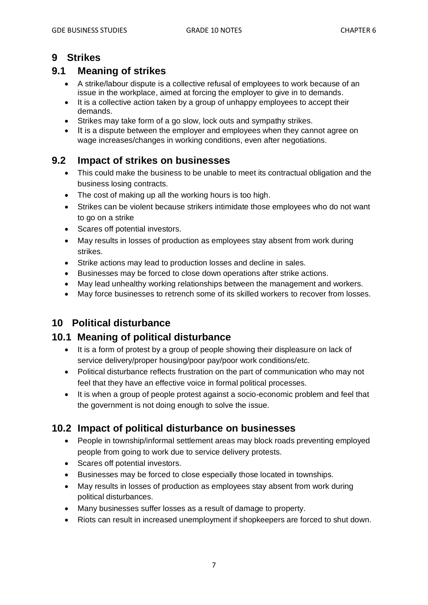### **9 Strikes**

# **9.1 Meaning of strikes**

- A strike/labour dispute is a collective refusal of employees to work because of an issue in the workplace, aimed at forcing the employer to give in to demands.
- It is a collective action taken by a group of unhappy employees to accept their demands.
- Strikes may take form of a go slow, lock outs and sympathy strikes.
- It is a dispute between the employer and employees when they cannot agree on wage increases/changes in working conditions, even after negotiations.

## **9.2 Impact of strikes on businesses**

- This could make the business to be unable to meet its contractual obligation and the business losing contracts.
- The cost of making up all the working hours is too high.
- Strikes can be violent because strikers intimidate those employees who do not want to go on a strike
- Scares off potential investors.
- May results in losses of production as employees stay absent from work during strikes.
- Strike actions may lead to production losses and decline in sales.
- Businesses may be forced to close down operations after strike actions.
- May lead unhealthy working relationships between the management and workers.
- May force businesses to retrench some of its skilled workers to recover from losses.

## **10 Political disturbance**

#### **10.1 Meaning of political disturbance**

- It is a form of protest by a group of people showing their displeasure on lack of service delivery/proper housing/poor pay/poor work conditions/etc.
- Political disturbance reflects frustration on the part of communication who may not feel that they have an effective voice in formal political processes.
- It is when a group of people protest against a socio-economic problem and feel that the government is not doing enough to solve the issue.

## **10.2 Impact of political disturbance on businesses**

- People in township/informal settlement areas may block roads preventing employed people from going to work due to service delivery protests.
- Scares off potential investors.
- Businesses may be forced to close especially those located in townships.
- May results in losses of production as employees stay absent from work during political disturbances.
- Many businesses suffer losses as a result of damage to property.
- Riots can result in increased unemployment if shopkeepers are forced to shut down.